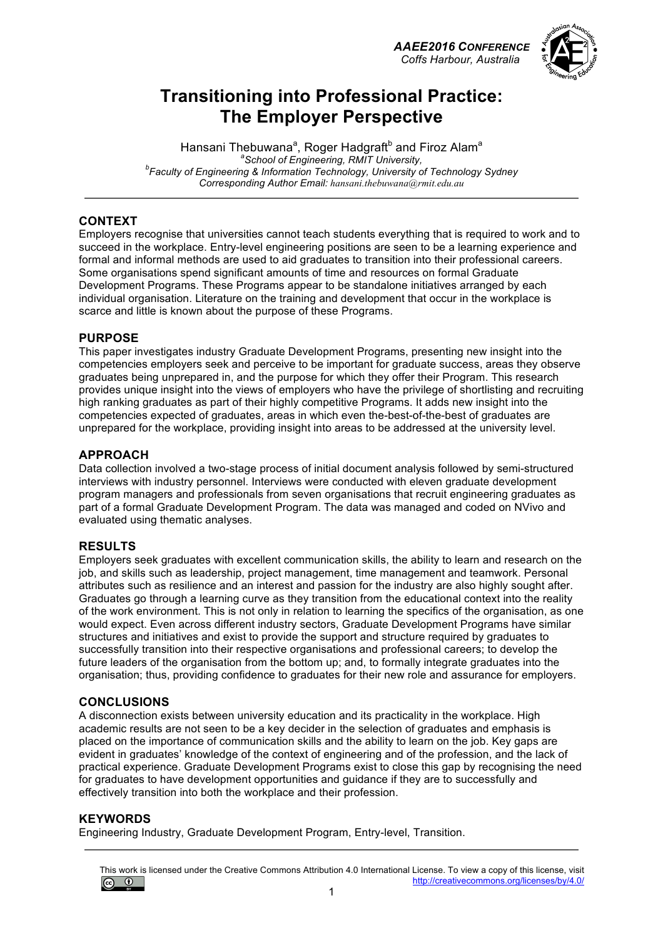*AAEE2016 CONFERENCE Coffs Harbour, Australia*



## **Transitioning into Professional Practice: The Employer Perspective**

Hansani Thebuwana<sup>a</sup>, Roger Hadgraft<sup>b</sup> and Firoz Alam<sup>a</sup> <sup>a</sup> School of Engineering, RMIT University, *School of Engineering, RMIT University, b Faculty of Engineering & Information Technology, University of Technology Sydney Corresponding Author Email: hansani.thebuwana@rmit.edu.au*

### **CONTEXT**

Employers recognise that universities cannot teach students everything that is required to work and to succeed in the workplace. Entry-level engineering positions are seen to be a learning experience and formal and informal methods are used to aid graduates to transition into their professional careers. Some organisations spend significant amounts of time and resources on formal Graduate Development Programs. These Programs appear to be standalone initiatives arranged by each individual organisation. Literature on the training and development that occur in the workplace is scarce and little is known about the purpose of these Programs.

#### **PURPOSE**

This paper investigates industry Graduate Development Programs, presenting new insight into the competencies employers seek and perceive to be important for graduate success, areas they observe graduates being unprepared in, and the purpose for which they offer their Program. This research provides unique insight into the views of employers who have the privilege of shortlisting and recruiting high ranking graduates as part of their highly competitive Programs. It adds new insight into the competencies expected of graduates, areas in which even the-best-of-the-best of graduates are unprepared for the workplace, providing insight into areas to be addressed at the university level.

#### **APPROACH**

Data collection involved a two-stage process of initial document analysis followed by semi-structured interviews with industry personnel. Interviews were conducted with eleven graduate development program managers and professionals from seven organisations that recruit engineering graduates as part of a formal Graduate Development Program. The data was managed and coded on NVivo and evaluated using thematic analyses.

### **RESULTS**

Employers seek graduates with excellent communication skills, the ability to learn and research on the job, and skills such as leadership, project management, time management and teamwork. Personal attributes such as resilience and an interest and passion for the industry are also highly sought after. Graduates go through a learning curve as they transition from the educational context into the reality of the work environment. This is not only in relation to learning the specifics of the organisation, as one would expect. Even across different industry sectors, Graduate Development Programs have similar structures and initiatives and exist to provide the support and structure required by graduates to successfully transition into their respective organisations and professional careers; to develop the future leaders of the organisation from the bottom up; and, to formally integrate graduates into the organisation; thus, providing confidence to graduates for their new role and assurance for employers.

### **CONCLUSIONS**

A disconnection exists between university education and its practicality in the workplace. High academic results are not seen to be a key decider in the selection of graduates and emphasis is placed on the importance of communication skills and the ability to learn on the job. Key gaps are evident in graduates' knowledge of the context of engineering and of the profession, and the lack of practical experience. Graduate Development Programs exist to close this gap by recognising the need for graduates to have development opportunities and guidance if they are to successfully and effectively transition into both the workplace and their profession.

#### **KEYWORDS**

Engineering Industry, Graduate Development Program, Entry-level, Transition.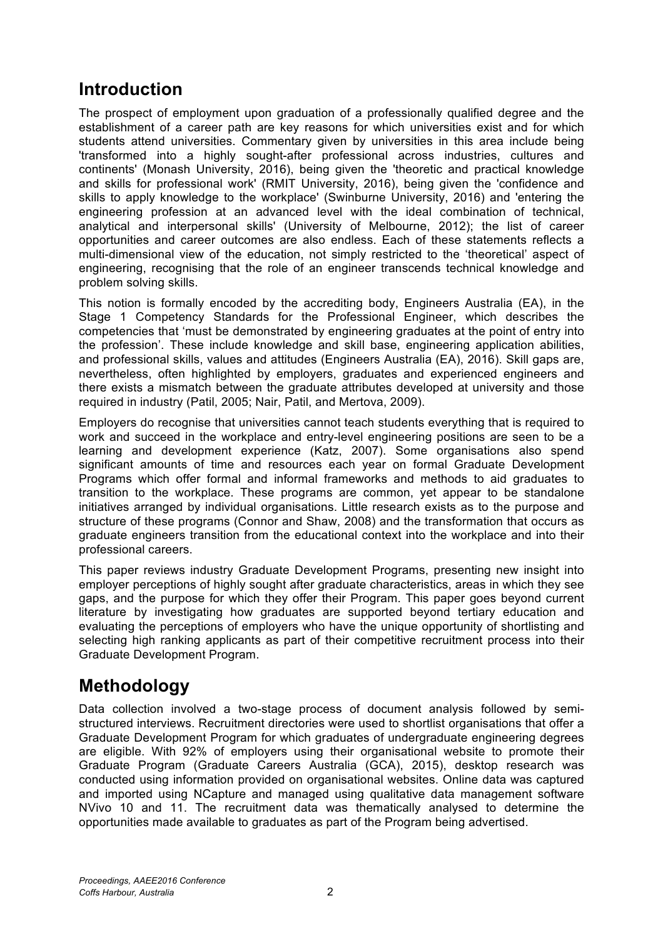# **Introduction**

The prospect of employment upon graduation of a professionally qualified degree and the establishment of a career path are key reasons for which universities exist and for which students attend universities. Commentary given by universities in this area include being 'transformed into a highly sought-after professional across industries, cultures and continents' (Monash University, 2016), being given the 'theoretic and practical knowledge and skills for professional work' (RMIT University, 2016), being given the 'confidence and skills to apply knowledge to the workplace' (Swinburne University, 2016) and 'entering the engineering profession at an advanced level with the ideal combination of technical, analytical and interpersonal skills' (University of Melbourne, 2012); the list of career opportunities and career outcomes are also endless. Each of these statements reflects a multi-dimensional view of the education, not simply restricted to the 'theoretical' aspect of engineering, recognising that the role of an engineer transcends technical knowledge and problem solving skills.

This notion is formally encoded by the accrediting body, Engineers Australia (EA), in the Stage 1 Competency Standards for the Professional Engineer, which describes the competencies that 'must be demonstrated by engineering graduates at the point of entry into the profession'. These include knowledge and skill base, engineering application abilities, and professional skills, values and attitudes (Engineers Australia (EA), 2016). Skill gaps are, nevertheless, often highlighted by employers, graduates and experienced engineers and there exists a mismatch between the graduate attributes developed at university and those required in industry (Patil, 2005; Nair, Patil, and Mertova, 2009).

Employers do recognise that universities cannot teach students everything that is required to work and succeed in the workplace and entry-level engineering positions are seen to be a learning and development experience (Katz, 2007). Some organisations also spend significant amounts of time and resources each year on formal Graduate Development Programs which offer formal and informal frameworks and methods to aid graduates to transition to the workplace. These programs are common, yet appear to be standalone initiatives arranged by individual organisations. Little research exists as to the purpose and structure of these programs (Connor and Shaw, 2008) and the transformation that occurs as graduate engineers transition from the educational context into the workplace and into their professional careers.

This paper reviews industry Graduate Development Programs, presenting new insight into employer perceptions of highly sought after graduate characteristics, areas in which they see gaps, and the purpose for which they offer their Program. This paper goes beyond current literature by investigating how graduates are supported beyond tertiary education and evaluating the perceptions of employers who have the unique opportunity of shortlisting and selecting high ranking applicants as part of their competitive recruitment process into their Graduate Development Program.

# **Methodology**

Data collection involved a two-stage process of document analysis followed by semistructured interviews. Recruitment directories were used to shortlist organisations that offer a Graduate Development Program for which graduates of undergraduate engineering degrees are eligible. With 92% of employers using their organisational website to promote their Graduate Program (Graduate Careers Australia (GCA), 2015), desktop research was conducted using information provided on organisational websites. Online data was captured and imported using NCapture and managed using qualitative data management software NVivo 10 and 11. The recruitment data was thematically analysed to determine the opportunities made available to graduates as part of the Program being advertised.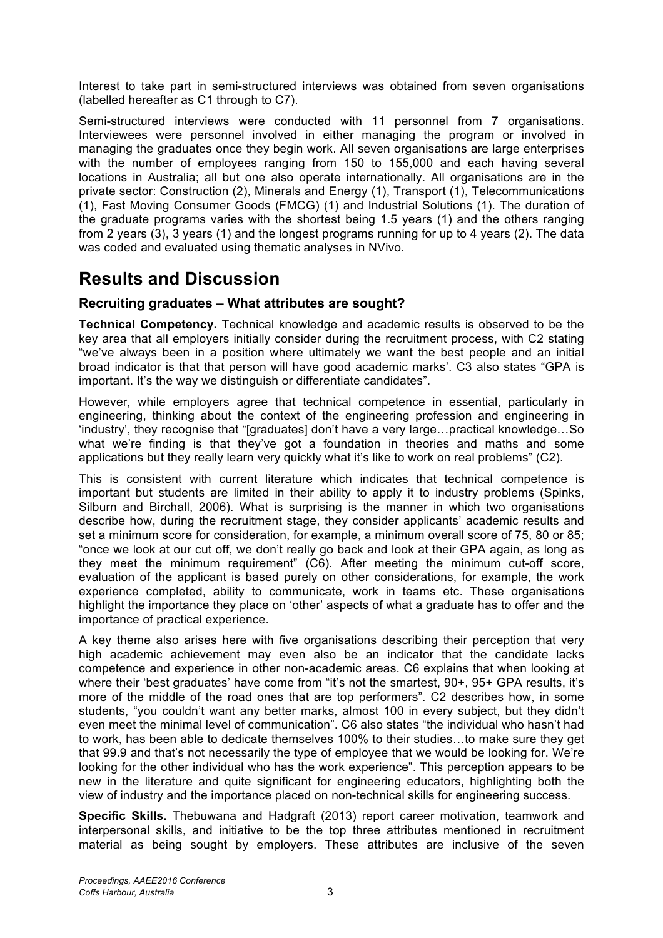Interest to take part in semi-structured interviews was obtained from seven organisations (labelled hereafter as C1 through to C7).

Semi-structured interviews were conducted with 11 personnel from 7 organisations. Interviewees were personnel involved in either managing the program or involved in managing the graduates once they begin work. All seven organisations are large enterprises with the number of employees ranging from 150 to 155,000 and each having several locations in Australia; all but one also operate internationally. All organisations are in the private sector: Construction (2), Minerals and Energy (1), Transport (1), Telecommunications (1), Fast Moving Consumer Goods (FMCG) (1) and Industrial Solutions (1). The duration of the graduate programs varies with the shortest being 1.5 years (1) and the others ranging from 2 years (3), 3 years (1) and the longest programs running for up to 4 years (2). The data was coded and evaluated using thematic analyses in NVivo.

## **Results and Discussion**

### **Recruiting graduates – What attributes are sought?**

**Technical Competency.** Technical knowledge and academic results is observed to be the key area that all employers initially consider during the recruitment process, with C2 stating "we've always been in a position where ultimately we want the best people and an initial broad indicator is that that person will have good academic marks'. C3 also states "GPA is important. It's the way we distinguish or differentiate candidates".

However, while employers agree that technical competence in essential, particularly in engineering, thinking about the context of the engineering profession and engineering in 'industry', they recognise that "[graduates] don't have a very large…practical knowledge…So what we're finding is that they've got a foundation in theories and maths and some applications but they really learn very quickly what it's like to work on real problems" (C2).

This is consistent with current literature which indicates that technical competence is important but students are limited in their ability to apply it to industry problems (Spinks, Silburn and Birchall, 2006). What is surprising is the manner in which two organisations describe how, during the recruitment stage, they consider applicants' academic results and set a minimum score for consideration, for example, a minimum overall score of 75, 80 or 85; "once we look at our cut off, we don't really go back and look at their GPA again, as long as they meet the minimum requirement" (C6). After meeting the minimum cut-off score, evaluation of the applicant is based purely on other considerations, for example, the work experience completed, ability to communicate, work in teams etc. These organisations highlight the importance they place on 'other' aspects of what a graduate has to offer and the importance of practical experience.

A key theme also arises here with five organisations describing their perception that very high academic achievement may even also be an indicator that the candidate lacks competence and experience in other non-academic areas. C6 explains that when looking at where their 'best graduates' have come from "it's not the smartest, 90+, 95+ GPA results, it's more of the middle of the road ones that are top performers". C2 describes how, in some students, "you couldn't want any better marks, almost 100 in every subject, but they didn't even meet the minimal level of communication". C6 also states "the individual who hasn't had to work, has been able to dedicate themselves 100% to their studies…to make sure they get that 99.9 and that's not necessarily the type of employee that we would be looking for. We're looking for the other individual who has the work experience". This perception appears to be new in the literature and quite significant for engineering educators, highlighting both the view of industry and the importance placed on non-technical skills for engineering success.

**Specific Skills.** Thebuwana and Hadgraft (2013) report career motivation, teamwork and interpersonal skills, and initiative to be the top three attributes mentioned in recruitment material as being sought by employers. These attributes are inclusive of the seven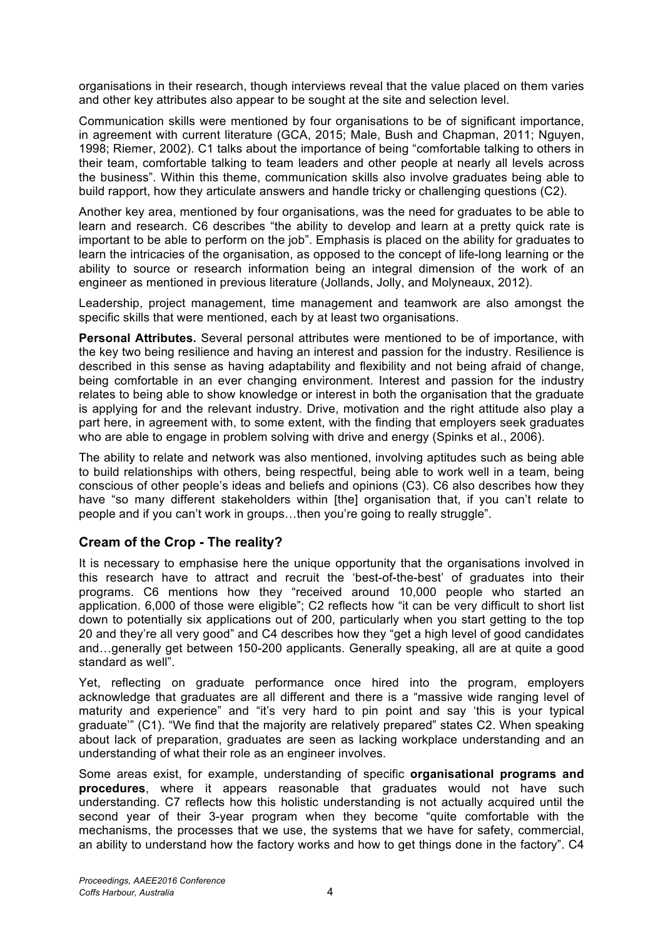organisations in their research, though interviews reveal that the value placed on them varies and other key attributes also appear to be sought at the site and selection level.

Communication skills were mentioned by four organisations to be of significant importance, in agreement with current literature (GCA, 2015; Male, Bush and Chapman, 2011; Nguyen, 1998; Riemer, 2002). C1 talks about the importance of being "comfortable talking to others in their team, comfortable talking to team leaders and other people at nearly all levels across the business". Within this theme, communication skills also involve graduates being able to build rapport, how they articulate answers and handle tricky or challenging questions (C2).

Another key area, mentioned by four organisations, was the need for graduates to be able to learn and research. C6 describes "the ability to develop and learn at a pretty quick rate is important to be able to perform on the job". Emphasis is placed on the ability for graduates to learn the intricacies of the organisation, as opposed to the concept of life-long learning or the ability to source or research information being an integral dimension of the work of an engineer as mentioned in previous literature (Jollands, Jolly, and Molyneaux, 2012).

Leadership, project management, time management and teamwork are also amongst the specific skills that were mentioned, each by at least two organisations.

**Personal Attributes.** Several personal attributes were mentioned to be of importance, with the key two being resilience and having an interest and passion for the industry. Resilience is described in this sense as having adaptability and flexibility and not being afraid of change, being comfortable in an ever changing environment. Interest and passion for the industry relates to being able to show knowledge or interest in both the organisation that the graduate is applying for and the relevant industry. Drive, motivation and the right attitude also play a part here, in agreement with, to some extent, with the finding that employers seek graduates who are able to engage in problem solving with drive and energy (Spinks et al., 2006).

The ability to relate and network was also mentioned, involving aptitudes such as being able to build relationships with others, being respectful, being able to work well in a team, being conscious of other people's ideas and beliefs and opinions (C3). C6 also describes how they have "so many different stakeholders within [the] organisation that, if you can't relate to people and if you can't work in groups…then you're going to really struggle".

### **Cream of the Crop - The reality?**

It is necessary to emphasise here the unique opportunity that the organisations involved in this research have to attract and recruit the 'best-of-the-best' of graduates into their programs. C6 mentions how they "received around 10,000 people who started an application. 6,000 of those were eligible"; C2 reflects how "it can be very difficult to short list down to potentially six applications out of 200, particularly when you start getting to the top 20 and they're all very good" and C4 describes how they "get a high level of good candidates and…generally get between 150-200 applicants. Generally speaking, all are at quite a good standard as well".

Yet, reflecting on graduate performance once hired into the program, employers acknowledge that graduates are all different and there is a "massive wide ranging level of maturity and experience" and "it's very hard to pin point and say 'this is your typical graduate'" (C1). "We find that the majority are relatively prepared" states C2. When speaking about lack of preparation, graduates are seen as lacking workplace understanding and an understanding of what their role as an engineer involves.

Some areas exist, for example, understanding of specific **organisational programs and procedures**, where it appears reasonable that graduates would not have such understanding. C7 reflects how this holistic understanding is not actually acquired until the second year of their 3-year program when they become "quite comfortable with the mechanisms, the processes that we use, the systems that we have for safety, commercial, an ability to understand how the factory works and how to get things done in the factory". C4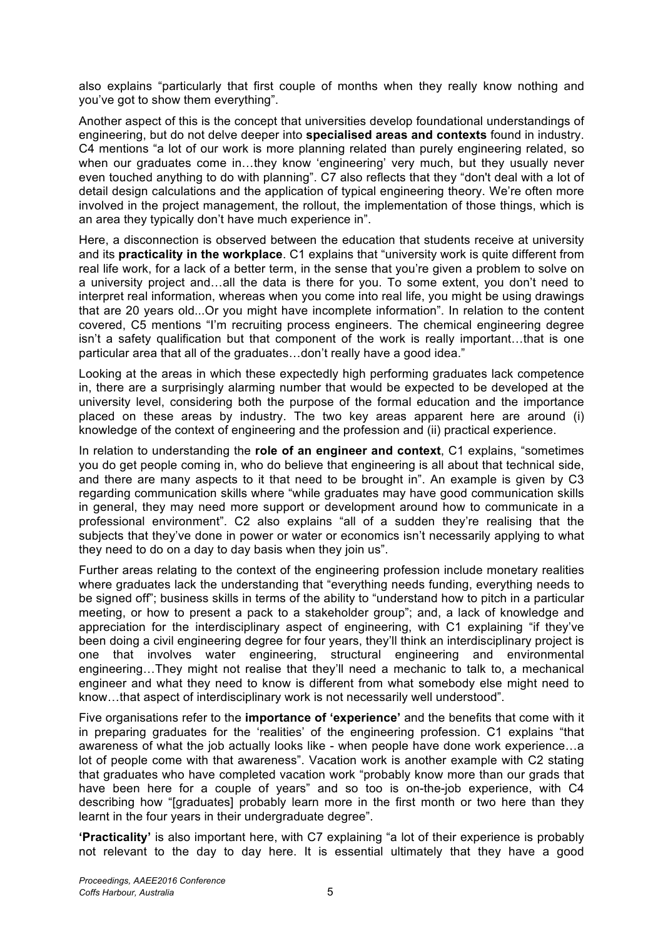also explains "particularly that first couple of months when they really know nothing and you've got to show them everything".

Another aspect of this is the concept that universities develop foundational understandings of engineering, but do not delve deeper into **specialised areas and contexts** found in industry. C4 mentions "a lot of our work is more planning related than purely engineering related, so when our graduates come in…they know 'engineering' very much, but they usually never even touched anything to do with planning". C7 also reflects that they "don't deal with a lot of detail design calculations and the application of typical engineering theory. We're often more involved in the project management, the rollout, the implementation of those things, which is an area they typically don't have much experience in".

Here, a disconnection is observed between the education that students receive at university and its **practicality in the workplace**. C1 explains that "university work is quite different from real life work, for a lack of a better term, in the sense that you're given a problem to solve on a university project and…all the data is there for you. To some extent, you don't need to interpret real information, whereas when you come into real life, you might be using drawings that are 20 years old...Or you might have incomplete information". In relation to the content covered, C5 mentions "I'm recruiting process engineers. The chemical engineering degree isn't a safety qualification but that component of the work is really important…that is one particular area that all of the graduates…don't really have a good idea."

Looking at the areas in which these expectedly high performing graduates lack competence in, there are a surprisingly alarming number that would be expected to be developed at the university level, considering both the purpose of the formal education and the importance placed on these areas by industry. The two key areas apparent here are around (i) knowledge of the context of engineering and the profession and (ii) practical experience.

In relation to understanding the **role of an engineer and context**, C1 explains, "sometimes you do get people coming in, who do believe that engineering is all about that technical side, and there are many aspects to it that need to be brought in". An example is given by C3 regarding communication skills where "while graduates may have good communication skills in general, they may need more support or development around how to communicate in a professional environment". C2 also explains "all of a sudden they're realising that the subjects that they've done in power or water or economics isn't necessarily applying to what they need to do on a day to day basis when they join us".

Further areas relating to the context of the engineering profession include monetary realities where graduates lack the understanding that "everything needs funding, everything needs to be signed off"; business skills in terms of the ability to "understand how to pitch in a particular meeting, or how to present a pack to a stakeholder group"; and, a lack of knowledge and appreciation for the interdisciplinary aspect of engineering, with C1 explaining "if they've been doing a civil engineering degree for four years, they'll think an interdisciplinary project is one that involves water engineering, structural engineering and environmental engineering…They might not realise that they'll need a mechanic to talk to, a mechanical engineer and what they need to know is different from what somebody else might need to know…that aspect of interdisciplinary work is not necessarily well understood".

Five organisations refer to the **importance of 'experience'** and the benefits that come with it in preparing graduates for the 'realities' of the engineering profession. C1 explains "that awareness of what the job actually looks like - when people have done work experience…a lot of people come with that awareness". Vacation work is another example with C2 stating that graduates who have completed vacation work "probably know more than our grads that have been here for a couple of years" and so too is on-the-job experience, with C4 describing how "[graduates] probably learn more in the first month or two here than they learnt in the four years in their undergraduate degree".

**'Practicality'** is also important here, with C7 explaining "a lot of their experience is probably not relevant to the day to day here. It is essential ultimately that they have a good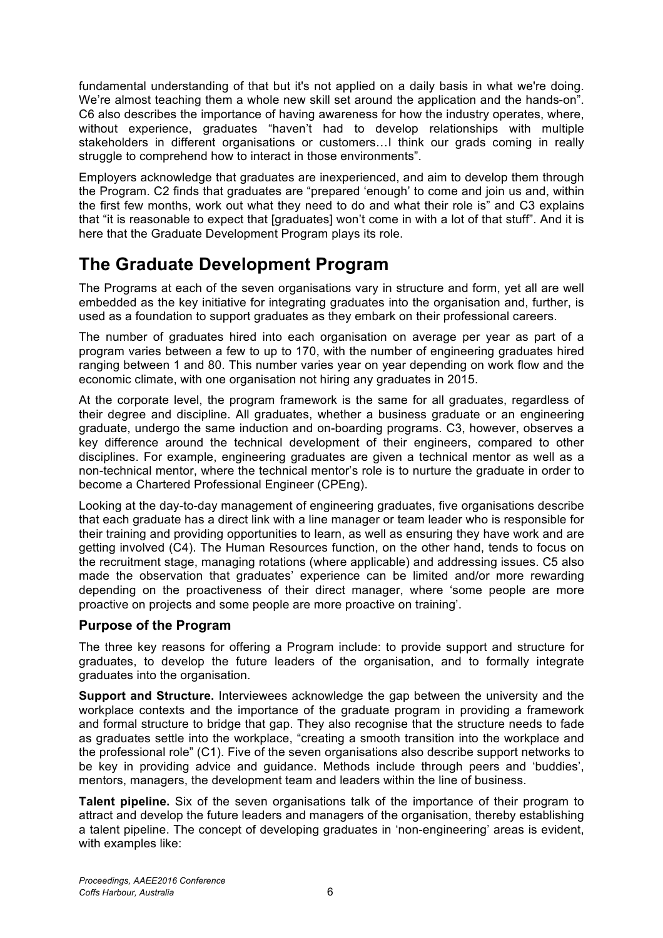fundamental understanding of that but it's not applied on a daily basis in what we're doing. We're almost teaching them a whole new skill set around the application and the hands-on". C6 also describes the importance of having awareness for how the industry operates, where, without experience, graduates "haven't had to develop relationships with multiple stakeholders in different organisations or customers…I think our grads coming in really struggle to comprehend how to interact in those environments".

Employers acknowledge that graduates are inexperienced, and aim to develop them through the Program. C2 finds that graduates are "prepared 'enough' to come and join us and, within the first few months, work out what they need to do and what their role is" and C3 explains that "it is reasonable to expect that [graduates] won't come in with a lot of that stuff". And it is here that the Graduate Development Program plays its role.

# **The Graduate Development Program**

The Programs at each of the seven organisations vary in structure and form, yet all are well embedded as the key initiative for integrating graduates into the organisation and, further, is used as a foundation to support graduates as they embark on their professional careers.

The number of graduates hired into each organisation on average per year as part of a program varies between a few to up to 170, with the number of engineering graduates hired ranging between 1 and 80. This number varies year on year depending on work flow and the economic climate, with one organisation not hiring any graduates in 2015.

At the corporate level, the program framework is the same for all graduates, regardless of their degree and discipline. All graduates, whether a business graduate or an engineering graduate, undergo the same induction and on-boarding programs. C3, however, observes a key difference around the technical development of their engineers, compared to other disciplines. For example, engineering graduates are given a technical mentor as well as a non-technical mentor, where the technical mentor's role is to nurture the graduate in order to become a Chartered Professional Engineer (CPEng).

Looking at the day-to-day management of engineering graduates, five organisations describe that each graduate has a direct link with a line manager or team leader who is responsible for their training and providing opportunities to learn, as well as ensuring they have work and are getting involved (C4). The Human Resources function, on the other hand, tends to focus on the recruitment stage, managing rotations (where applicable) and addressing issues. C5 also made the observation that graduates' experience can be limited and/or more rewarding depending on the proactiveness of their direct manager, where 'some people are more proactive on projects and some people are more proactive on training'.

### **Purpose of the Program**

The three key reasons for offering a Program include: to provide support and structure for graduates, to develop the future leaders of the organisation, and to formally integrate graduates into the organisation.

**Support and Structure.** Interviewees acknowledge the gap between the university and the workplace contexts and the importance of the graduate program in providing a framework and formal structure to bridge that gap. They also recognise that the structure needs to fade as graduates settle into the workplace, "creating a smooth transition into the workplace and the professional role" (C1). Five of the seven organisations also describe support networks to be key in providing advice and guidance. Methods include through peers and 'buddies', mentors, managers, the development team and leaders within the line of business.

**Talent pipeline.** Six of the seven organisations talk of the importance of their program to attract and develop the future leaders and managers of the organisation, thereby establishing a talent pipeline. The concept of developing graduates in 'non-engineering' areas is evident, with examples like: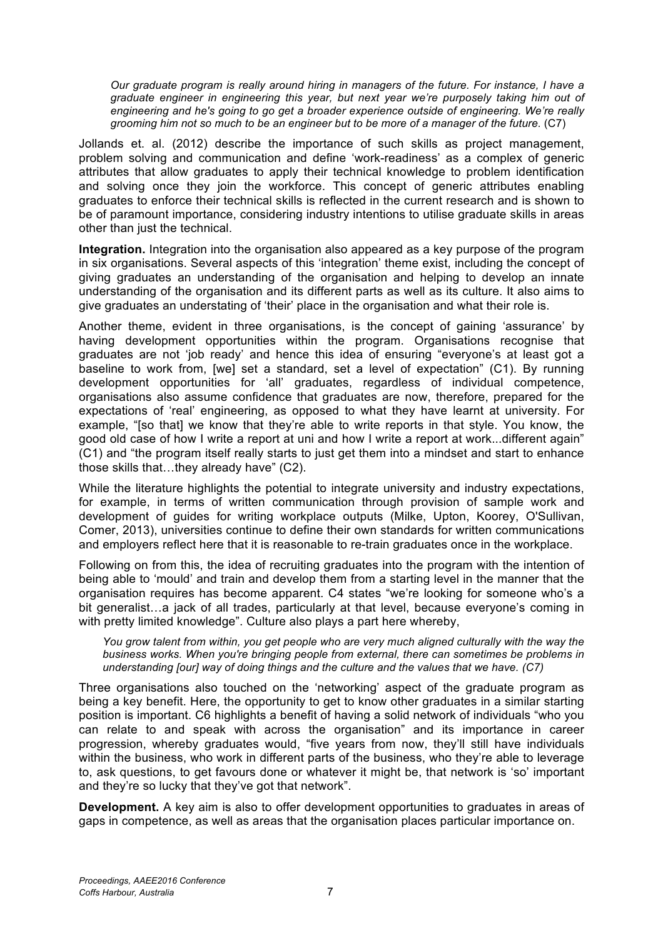*Our graduate program is really around hiring in managers of the future. For instance, I have a graduate engineer in engineering this year, but next year we're purposely taking him out of engineering and he's going to go get a broader experience outside of engineering. We're really grooming him not so much to be an engineer but to be more of a manager of the future.* (C7)

Jollands et. al. (2012) describe the importance of such skills as project management, problem solving and communication and define 'work-readiness' as a complex of generic attributes that allow graduates to apply their technical knowledge to problem identification and solving once they join the workforce. This concept of generic attributes enabling graduates to enforce their technical skills is reflected in the current research and is shown to be of paramount importance, considering industry intentions to utilise graduate skills in areas other than just the technical.

**Integration.** Integration into the organisation also appeared as a key purpose of the program in six organisations. Several aspects of this 'integration' theme exist, including the concept of giving graduates an understanding of the organisation and helping to develop an innate understanding of the organisation and its different parts as well as its culture. It also aims to give graduates an understating of 'their' place in the organisation and what their role is.

Another theme, evident in three organisations, is the concept of gaining 'assurance' by having development opportunities within the program. Organisations recognise that graduates are not 'job ready' and hence this idea of ensuring "everyone's at least got a baseline to work from, [we] set a standard, set a level of expectation" (C1). By running development opportunities for 'all' graduates, regardless of individual competence, organisations also assume confidence that graduates are now, therefore, prepared for the expectations of 'real' engineering, as opposed to what they have learnt at university. For example, "[so that] we know that they're able to write reports in that style. You know, the good old case of how I write a report at uni and how I write a report at work...different again" (C1) and "the program itself really starts to just get them into a mindset and start to enhance those skills that…they already have" (C2).

While the literature highlights the potential to integrate university and industry expectations, for example, in terms of written communication through provision of sample work and development of guides for writing workplace outputs (Milke, Upton, Koorey, O'Sullivan, Comer, 2013), universities continue to define their own standards for written communications and employers reflect here that it is reasonable to re-train graduates once in the workplace.

Following on from this, the idea of recruiting graduates into the program with the intention of being able to 'mould' and train and develop them from a starting level in the manner that the organisation requires has become apparent. C4 states "we're looking for someone who's a bit generalist…a jack of all trades, particularly at that level, because everyone's coming in with pretty limited knowledge". Culture also plays a part here whereby,

*You grow talent from within, you get people who are very much aligned culturally with the way the business works. When you're bringing people from external, there can sometimes be problems in understanding [our] way of doing things and the culture and the values that we have. (C7)*

Three organisations also touched on the 'networking' aspect of the graduate program as being a key benefit. Here, the opportunity to get to know other graduates in a similar starting position is important. C6 highlights a benefit of having a solid network of individuals "who you can relate to and speak with across the organisation" and its importance in career progression, whereby graduates would, "five years from now, they'll still have individuals within the business, who work in different parts of the business, who they're able to leverage to, ask questions, to get favours done or whatever it might be, that network is 'so' important and they're so lucky that they've got that network".

**Development.** A key aim is also to offer development opportunities to graduates in areas of gaps in competence, as well as areas that the organisation places particular importance on.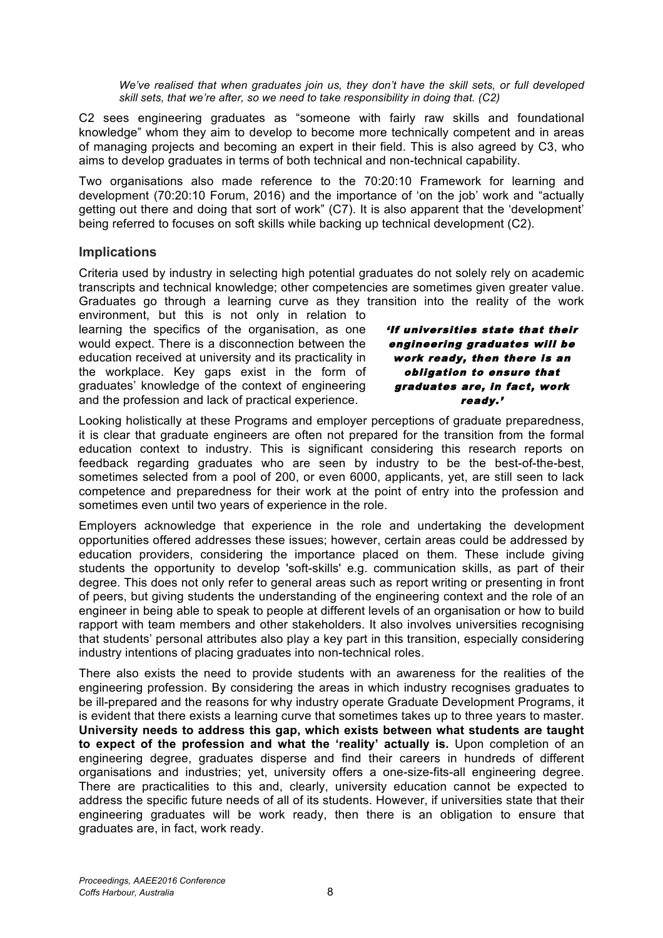*We've realised that when graduates join us, they don't have the skill sets, or full developed skill sets, that we're after, so we need to take responsibility in doing that. (C2)*

C2 sees engineering graduates as "someone with fairly raw skills and foundational knowledge" whom they aim to develop to become more technically competent and in areas of managing projects and becoming an expert in their field. This is also agreed by C3, who aims to develop graduates in terms of both technical and non-technical capability.

Two organisations also made reference to the 70:20:10 Framework for learning and development (70:20:10 Forum, 2016) and the importance of 'on the job' work and "actually getting out there and doing that sort of work" (C7). It is also apparent that the 'development' being referred to focuses on soft skills while backing up technical development (C2).

### **Implications**

Criteria used by industry in selecting high potential graduates do not solely rely on academic transcripts and technical knowledge; other competencies are sometimes given greater value. Graduates go through a learning curve as they transition into the reality of the work

environment, but this is not only in relation to learning the specifics of the organisation, as one would expect. There is a disconnection between the education received at university and its practicality in the workplace. Key gaps exist in the form of graduates' knowledge of the context of engineering and the profession and lack of practical experience.

'If universities state that their engineering graduates will be work ready, then there is an obligation to ensure that graduates are, in fact, work ready.'

Looking holistically at these Programs and employer perceptions of graduate preparedness, it is clear that graduate engineers are often not prepared for the transition from the formal education context to industry. This is significant considering this research reports on feedback regarding graduates who are seen by industry to be the best-of-the-best, sometimes selected from a pool of 200, or even 6000, applicants, yet, are still seen to lack competence and preparedness for their work at the point of entry into the profession and sometimes even until two years of experience in the role.

Employers acknowledge that experience in the role and undertaking the development opportunities offered addresses these issues; however, certain areas could be addressed by education providers, considering the importance placed on them. These include giving students the opportunity to develop 'soft-skills' e.g. communication skills, as part of their degree. This does not only refer to general areas such as report writing or presenting in front of peers, but giving students the understanding of the engineering context and the role of an engineer in being able to speak to people at different levels of an organisation or how to build rapport with team members and other stakeholders. It also involves universities recognising that students' personal attributes also play a key part in this transition, especially considering industry intentions of placing graduates into non-technical roles.

There also exists the need to provide students with an awareness for the realities of the engineering profession. By considering the areas in which industry recognises graduates to be ill-prepared and the reasons for why industry operate Graduate Development Programs, it is evident that there exists a learning curve that sometimes takes up to three years to master. **University needs to address this gap, which exists between what students are taught to expect of the profession and what the 'reality' actually is.** Upon completion of an engineering degree, graduates disperse and find their careers in hundreds of different organisations and industries; yet, university offers a one-size-fits-all engineering degree. There are practicalities to this and, clearly, university education cannot be expected to address the specific future needs of all of its students. However, if universities state that their engineering graduates will be work ready, then there is an obligation to ensure that graduates are, in fact, work ready.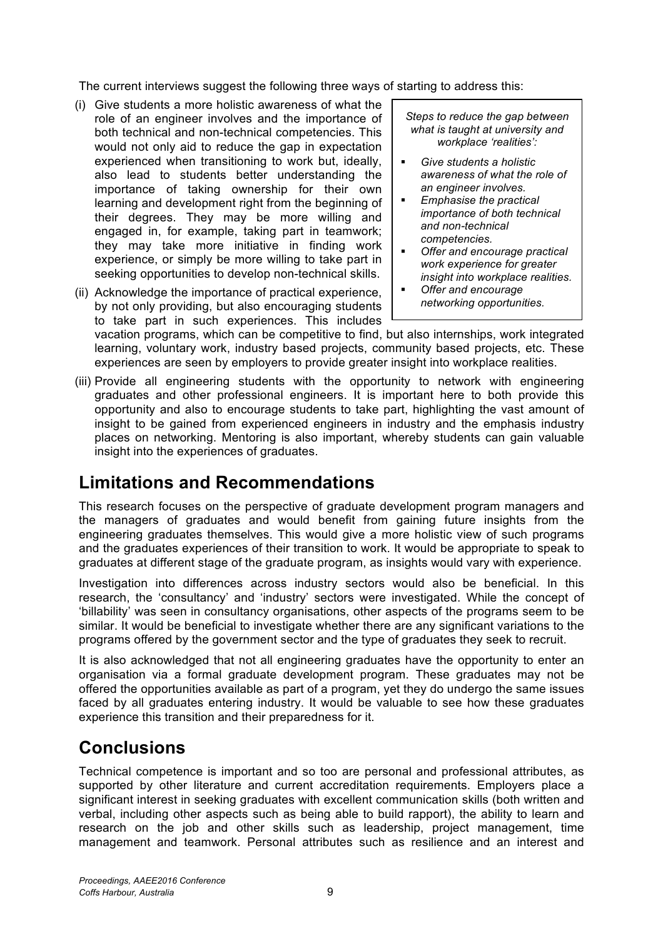The current interviews suggest the following three ways of starting to address this:

- (i) Give students a more holistic awareness of what the role of an engineer involves and the importance of both technical and non-technical competencies. This would not only aid to reduce the gap in expectation experienced when transitioning to work but, ideally, also lead to students better understanding the importance of taking ownership for their own learning and development right from the beginning of their degrees. They may be more willing and engaged in, for example, taking part in teamwork; they may take more initiative in finding work experience, or simply be more willing to take part in seeking opportunities to develop non-technical skills.
- (ii) Acknowledge the importance of practical experience, by not only providing, but also encouraging students to take part in such experiences. This includes

*Steps to reduce the gap between what is taught at university and workplace 'realities':*

- § *Give students a holistic awareness of what the role of an engineer involves.*
- § *Emphasise the practical importance of both technical and non-technical competencies.*
- § *Offer and encourage practical work experience for greater insight into workplace realities.*
- § *Offer and encourage networking opportunities.*

vacation programs, which can be competitive to find, but also internships, work integrated learning, voluntary work, industry based projects, community based projects, etc. These experiences are seen by employers to provide greater insight into workplace realities.

(iii) Provide all engineering students with the opportunity to network with engineering graduates and other professional engineers. It is important here to both provide this opportunity and also to encourage students to take part, highlighting the vast amount of insight to be gained from experienced engineers in industry and the emphasis industry places on networking. Mentoring is also important, whereby students can gain valuable insight into the experiences of graduates.

## **Limitations and Recommendations**

This research focuses on the perspective of graduate development program managers and the managers of graduates and would benefit from gaining future insights from the engineering graduates themselves. This would give a more holistic view of such programs and the graduates experiences of their transition to work. It would be appropriate to speak to graduates at different stage of the graduate program, as insights would vary with experience.

Investigation into differences across industry sectors would also be beneficial. In this research, the 'consultancy' and 'industry' sectors were investigated. While the concept of 'billability' was seen in consultancy organisations, other aspects of the programs seem to be similar. It would be beneficial to investigate whether there are any significant variations to the programs offered by the government sector and the type of graduates they seek to recruit.

It is also acknowledged that not all engineering graduates have the opportunity to enter an organisation via a formal graduate development program. These graduates may not be offered the opportunities available as part of a program, yet they do undergo the same issues faced by all graduates entering industry. It would be valuable to see how these graduates experience this transition and their preparedness for it.

# **Conclusions**

Technical competence is important and so too are personal and professional attributes, as supported by other literature and current accreditation requirements. Employers place a significant interest in seeking graduates with excellent communication skills (both written and verbal, including other aspects such as being able to build rapport), the ability to learn and research on the job and other skills such as leadership, project management, time management and teamwork. Personal attributes such as resilience and an interest and